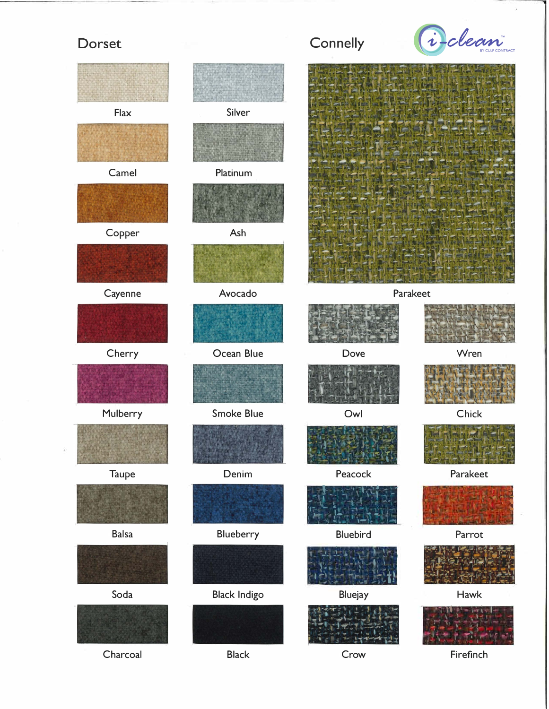## Dorset



Delean

Wren

Chick

Parakeet

Parrot

Hawk

Firefinch

Connelly